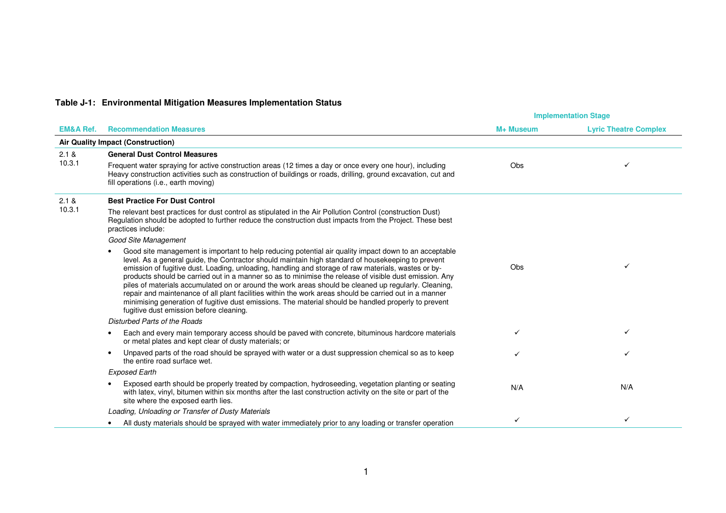## **Table J-1: Environmental Mitigation Measures Implementation Status**

|                      |                                                                                                                                                                                                                                                                                                                                                                                                                                                                                                                                                                                                                                                                                                                                                                                                   | <b>Implementation Stage</b> |                              |
|----------------------|---------------------------------------------------------------------------------------------------------------------------------------------------------------------------------------------------------------------------------------------------------------------------------------------------------------------------------------------------------------------------------------------------------------------------------------------------------------------------------------------------------------------------------------------------------------------------------------------------------------------------------------------------------------------------------------------------------------------------------------------------------------------------------------------------|-----------------------------|------------------------------|
| <b>EM&amp;A Ref.</b> | <b>Recommendation Measures</b>                                                                                                                                                                                                                                                                                                                                                                                                                                                                                                                                                                                                                                                                                                                                                                    | M+ Museum                   | <b>Lyric Theatre Complex</b> |
|                      | Air Quality Impact (Construction)                                                                                                                                                                                                                                                                                                                                                                                                                                                                                                                                                                                                                                                                                                                                                                 |                             |                              |
| 2.1 &                | <b>General Dust Control Measures</b>                                                                                                                                                                                                                                                                                                                                                                                                                                                                                                                                                                                                                                                                                                                                                              |                             |                              |
| 10.3.1               | Frequent water spraying for active construction areas (12 times a day or once every one hour), including<br>Heavy construction activities such as construction of buildings or roads, drilling, ground excavation, cut and<br>fill operations (i.e., earth moving)                                                                                                                                                                                                                                                                                                                                                                                                                                                                                                                                | <b>Obs</b>                  | ✓                            |
| 2.1 &                | <b>Best Practice For Dust Control</b>                                                                                                                                                                                                                                                                                                                                                                                                                                                                                                                                                                                                                                                                                                                                                             |                             |                              |
| 10.3.1               | The relevant best practices for dust control as stipulated in the Air Pollution Control (construction Dust)<br>Regulation should be adopted to further reduce the construction dust impacts from the Project. These best<br>practices include:                                                                                                                                                                                                                                                                                                                                                                                                                                                                                                                                                    |                             |                              |
|                      | Good Site Management                                                                                                                                                                                                                                                                                                                                                                                                                                                                                                                                                                                                                                                                                                                                                                              |                             |                              |
|                      | Good site management is important to help reducing potential air quality impact down to an acceptable<br>level. As a general guide, the Contractor should maintain high standard of housekeeping to prevent<br>emission of fugitive dust. Loading, unloading, handling and storage of raw materials, wastes or by-<br>products should be carried out in a manner so as to minimise the release of visible dust emission. Any<br>piles of materials accumulated on or around the work areas should be cleaned up regularly. Cleaning,<br>repair and maintenance of all plant facilities within the work areas should be carried out in a manner<br>minimising generation of fugitive dust emissions. The material should be handled properly to prevent<br>fugitive dust emission before cleaning. | <b>Obs</b>                  | ✓                            |
|                      | Disturbed Parts of the Roads                                                                                                                                                                                                                                                                                                                                                                                                                                                                                                                                                                                                                                                                                                                                                                      |                             |                              |
|                      | Each and every main temporary access should be paved with concrete, bituminous hardcore materials<br>$\bullet$<br>or metal plates and kept clear of dusty materials; or                                                                                                                                                                                                                                                                                                                                                                                                                                                                                                                                                                                                                           | ✓                           | ✓                            |
|                      | Unpaved parts of the road should be sprayed with water or a dust suppression chemical so as to keep<br>$\bullet$<br>the entire road surface wet.                                                                                                                                                                                                                                                                                                                                                                                                                                                                                                                                                                                                                                                  |                             | ✓                            |
|                      | <b>Exposed Earth</b>                                                                                                                                                                                                                                                                                                                                                                                                                                                                                                                                                                                                                                                                                                                                                                              |                             |                              |
|                      | Exposed earth should be properly treated by compaction, hydroseeding, vegetation planting or seating<br>with latex, vinyl, bitumen within six months after the last construction activity on the site or part of the<br>site where the exposed earth lies.                                                                                                                                                                                                                                                                                                                                                                                                                                                                                                                                        | N/A                         | N/A                          |
|                      | Loading, Unloading or Transfer of Dusty Materials                                                                                                                                                                                                                                                                                                                                                                                                                                                                                                                                                                                                                                                                                                                                                 |                             |                              |
|                      | All dusty materials should be sprayed with water immediately prior to any loading or transfer operation                                                                                                                                                                                                                                                                                                                                                                                                                                                                                                                                                                                                                                                                                           | $\checkmark$                | ✓                            |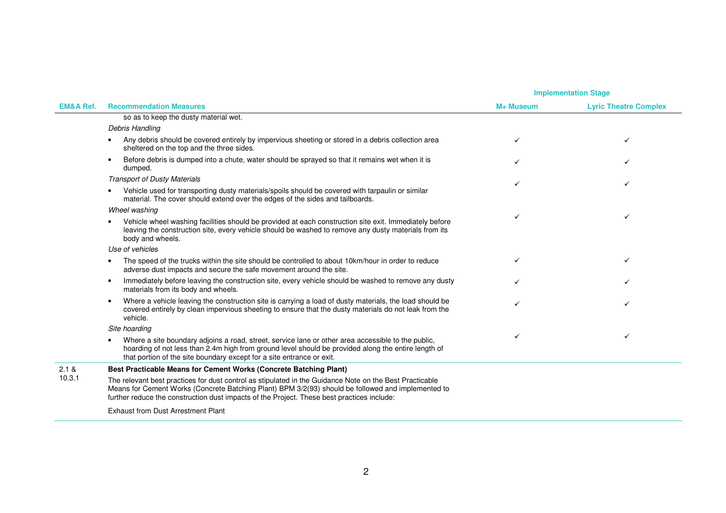|                      |                                                                                                                                                                                                                                                                                                             | <b>Implementation Stage</b> |                              |
|----------------------|-------------------------------------------------------------------------------------------------------------------------------------------------------------------------------------------------------------------------------------------------------------------------------------------------------------|-----------------------------|------------------------------|
| <b>EM&amp;A Ref.</b> | <b>Recommendation Measures</b>                                                                                                                                                                                                                                                                              | M+ Museum                   | <b>Lyric Theatre Complex</b> |
|                      | so as to keep the dusty material wet.                                                                                                                                                                                                                                                                       |                             |                              |
|                      | Debris Handling                                                                                                                                                                                                                                                                                             |                             |                              |
|                      | Any debris should be covered entirely by impervious sheeting or stored in a debris collection area<br>sheltered on the top and the three sides.                                                                                                                                                             |                             | ✓                            |
|                      | Before debris is dumped into a chute, water should be sprayed so that it remains wet when it is<br>$\bullet$<br>dumped.                                                                                                                                                                                     |                             |                              |
|                      | <b>Transport of Dusty Materials</b>                                                                                                                                                                                                                                                                         |                             |                              |
|                      | Vehicle used for transporting dusty materials/spoils should be covered with tarpaulin or similar<br>$\bullet$<br>material. The cover should extend over the edges of the sides and tailboards.                                                                                                              |                             |                              |
|                      | Wheel washing                                                                                                                                                                                                                                                                                               |                             |                              |
|                      | Vehicle wheel washing facilities should be provided at each construction site exit. Immediately before<br>$\bullet$<br>leaving the construction site, every vehicle should be washed to remove any dusty materials from its<br>body and wheels.                                                             |                             | ✓                            |
|                      | Use of vehicles                                                                                                                                                                                                                                                                                             |                             |                              |
|                      | The speed of the trucks within the site should be controlled to about 10km/hour in order to reduce<br>adverse dust impacts and secure the safe movement around the site.                                                                                                                                    |                             | ✓                            |
|                      | Immediately before leaving the construction site, every vehicle should be washed to remove any dusty<br>$\bullet$<br>materials from its body and wheels.                                                                                                                                                    | ✓                           |                              |
|                      | Where a vehicle leaving the construction site is carrying a load of dusty materials, the load should be<br>$\bullet$<br>covered entirely by clean impervious sheeting to ensure that the dusty materials do not leak from the<br>vehicle.                                                                   |                             |                              |
|                      | Site hoarding                                                                                                                                                                                                                                                                                               |                             |                              |
|                      | Where a site boundary adjoins a road, street, service lane or other area accessible to the public,<br>hoarding of not less than 2.4m high from ground level should be provided along the entire length of<br>that portion of the site boundary except for a site entrance or exit.                          |                             | ✓                            |
| 2.1 &<br>10.3.1      | Best Practicable Means for Cement Works (Concrete Batching Plant)                                                                                                                                                                                                                                           |                             |                              |
|                      | The relevant best practices for dust control as stipulated in the Guidance Note on the Best Practicable<br>Means for Cement Works (Concrete Batching Plant) BPM 3/2(93) should be followed and implemented to<br>further reduce the construction dust impacts of the Project. These best practices include: |                             |                              |
|                      | <b>Exhaust from Dust Arrestment Plant</b>                                                                                                                                                                                                                                                                   |                             |                              |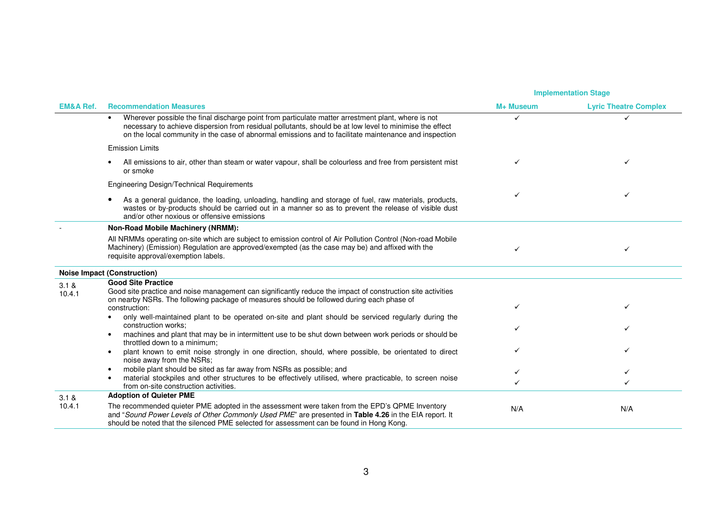|                      |                                                                                                                                                                                                                                                                                                                                     | <b>Implementation Stage</b> |                              |
|----------------------|-------------------------------------------------------------------------------------------------------------------------------------------------------------------------------------------------------------------------------------------------------------------------------------------------------------------------------------|-----------------------------|------------------------------|
| <b>EM&amp;A Ref.</b> | <b>Recommendation Measures</b>                                                                                                                                                                                                                                                                                                      | M+ Museum                   | <b>Lyric Theatre Complex</b> |
|                      | Wherever possible the final discharge point from particulate matter arrestment plant, where is not<br>$\bullet$<br>necessary to achieve dispersion from residual pollutants, should be at low level to minimise the effect<br>on the local community in the case of abnormal emissions and to facilitate maintenance and inspection | ✓                           | ✓                            |
|                      | <b>Emission Limits</b>                                                                                                                                                                                                                                                                                                              |                             |                              |
|                      | All emissions to air, other than steam or water vapour, shall be colourless and free from persistent mist<br>or smoke                                                                                                                                                                                                               |                             |                              |
|                      | Engineering Design/Technical Requirements                                                                                                                                                                                                                                                                                           |                             |                              |
|                      | As a general guidance, the loading, unloading, handling and storage of fuel, raw materials, products,<br>wastes or by-products should be carried out in a manner so as to prevent the release of visible dust<br>and/or other noxious or offensive emissions                                                                        |                             |                              |
|                      | Non-Road Mobile Machinery (NRMM):                                                                                                                                                                                                                                                                                                   |                             |                              |
|                      | All NRMMs operating on-site which are subject to emission control of Air Pollution Control (Non-road Mobile<br>Machinery) (Emission) Regulation are approved/exempted (as the case may be) and affixed with the<br>requisite approval/exemption labels.                                                                             |                             | ✓                            |
|                      | <b>Noise Impact (Construction)</b>                                                                                                                                                                                                                                                                                                  |                             |                              |
| 3.1 &                | <b>Good Site Practice</b>                                                                                                                                                                                                                                                                                                           |                             |                              |
| 10.4.1               | Good site practice and noise management can significantly reduce the impact of construction site activities<br>on nearby NSRs. The following package of measures should be followed during each phase of<br>construction:                                                                                                           |                             | ✓                            |
|                      | only well-maintained plant to be operated on-site and plant should be serviced regularly during the<br>construction works;                                                                                                                                                                                                          |                             |                              |
|                      | machines and plant that may be in intermittent use to be shut down between work periods or should be<br>throttled down to a minimum;                                                                                                                                                                                                |                             |                              |
|                      | plant known to emit noise strongly in one direction, should, where possible, be orientated to direct<br>noise away from the NSRs;                                                                                                                                                                                                   |                             |                              |
|                      | mobile plant should be sited as far away from NSRs as possible; and                                                                                                                                                                                                                                                                 |                             | ✓                            |
|                      | material stockpiles and other structures to be effectively utilised, where practicable, to screen noise<br>from on-site construction activities.                                                                                                                                                                                    | ✓                           | ✓                            |
| 3.1 &                | <b>Adoption of Quieter PME</b>                                                                                                                                                                                                                                                                                                      |                             |                              |
| 10.4.1               | The recommended quieter PME adopted in the assessment were taken from the EPD's QPME Inventory<br>and "Sound Power Levels of Other Commonly Used PME" are presented in Table 4.26 in the EIA report. It<br>should be noted that the silenced PME selected for assessment can be found in Hong Kong.                                 | N/A                         | N/A                          |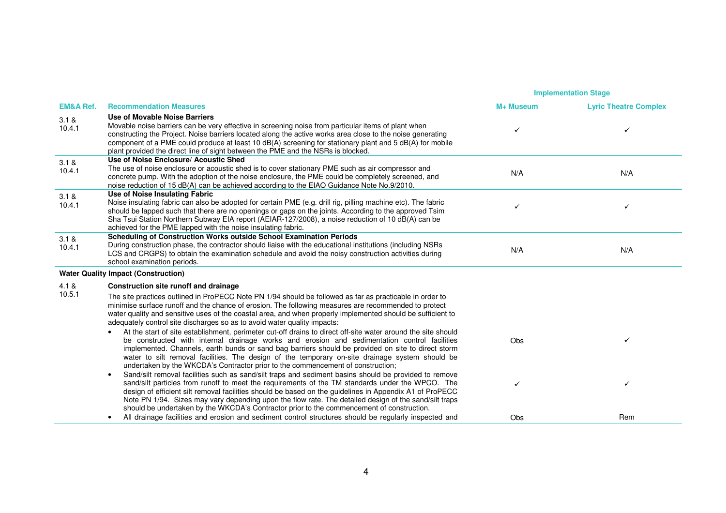|                      |                                                                                                                                                                                                                                                                                                                                                                                                                                                                                                                                                                                                                   | <b>Implementation Stage</b> |                              |
|----------------------|-------------------------------------------------------------------------------------------------------------------------------------------------------------------------------------------------------------------------------------------------------------------------------------------------------------------------------------------------------------------------------------------------------------------------------------------------------------------------------------------------------------------------------------------------------------------------------------------------------------------|-----------------------------|------------------------------|
| <b>EM&amp;A Ref.</b> | <b>Recommendation Measures</b>                                                                                                                                                                                                                                                                                                                                                                                                                                                                                                                                                                                    | M+ Museum                   | <b>Lyric Theatre Complex</b> |
| 3.1 &<br>10.4.1      | Use of Movable Noise Barriers<br>Movable noise barriers can be very effective in screening noise from particular items of plant when<br>constructing the Project. Noise barriers located along the active works area close to the noise generating<br>component of a PME could produce at least 10 dB(A) screening for stationary plant and 5 dB(A) for mobile<br>plant provided the direct line of sight between the PME and the NSRs is blocked.                                                                                                                                                                | ✓                           |                              |
| 3.1 &<br>10.4.1      | Use of Noise Enclosure/ Acoustic Shed<br>The use of noise enclosure or acoustic shed is to cover stationary PME such as air compressor and<br>concrete pump. With the adoption of the noise enclosure, the PME could be completely screened, and<br>noise reduction of 15 dB(A) can be achieved according to the EIAO Guidance Note No.9/2010.                                                                                                                                                                                                                                                                    | N/A                         | N/A                          |
| 3.1 &<br>10.4.1      | Use of Noise Insulating Fabric<br>Noise insulating fabric can also be adopted for certain PME (e.g. drill rig, pilling machine etc). The fabric<br>should be lapped such that there are no openings or gaps on the joints. According to the approved Tsim<br>Sha Tsui Station Northern Subway EIA report (AEIAR-127/2008), a noise reduction of 10 dB(A) can be<br>achieved for the PME lapped with the noise insulating fabric.                                                                                                                                                                                  | ✓                           | ✓                            |
| 3.1 &<br>10.4.1      | Scheduling of Construction Works outside School Examination Periods<br>During construction phase, the contractor should liaise with the educational institutions (including NSRs<br>LCS and CRGPS) to obtain the examination schedule and avoid the noisy construction activities during<br>school examination periods.                                                                                                                                                                                                                                                                                           | N/A                         | N/A                          |
|                      | <b>Water Quality Impact (Construction)</b>                                                                                                                                                                                                                                                                                                                                                                                                                                                                                                                                                                        |                             |                              |
| 4.1 &                | Construction site runoff and drainage                                                                                                                                                                                                                                                                                                                                                                                                                                                                                                                                                                             |                             |                              |
| 10.5.1               | The site practices outlined in ProPECC Note PN 1/94 should be followed as far as practicable in order to<br>minimise surface runoff and the chance of erosion. The following measures are recommended to protect<br>water quality and sensitive uses of the coastal area, and when properly implemented should be sufficient to<br>adequately control site discharges so as to avoid water quality impacts:                                                                                                                                                                                                       |                             |                              |
|                      | At the start of site establishment, perimeter cut-off drains to direct off-site water around the site should<br>be constructed with internal drainage works and erosion and sedimentation control facilities<br>implemented. Channels, earth bunds or sand bag barriers should be provided on site to direct storm<br>water to silt removal facilities. The design of the temporary on-site drainage system should be<br>undertaken by the WKCDA's Contractor prior to the commencement of construction;<br>Sand/silt removal facilities such as sand/silt traps and sediment basins should be provided to remove | <b>Obs</b>                  | ✓                            |
|                      | $\bullet$<br>sand/silt particles from runoff to meet the requirements of the TM standards under the WPCO. The<br>design of efficient silt removal facilities should be based on the guidelines in Appendix A1 of ProPECC<br>Note PN 1/94. Sizes may vary depending upon the flow rate. The detailed design of the sand/silt traps<br>should be undertaken by the WKCDA's Contractor prior to the commencement of construction.                                                                                                                                                                                    | ✓                           | ✓                            |
|                      | All drainage facilities and erosion and sediment control structures should be regularly inspected and                                                                                                                                                                                                                                                                                                                                                                                                                                                                                                             | <b>Obs</b>                  | Rem                          |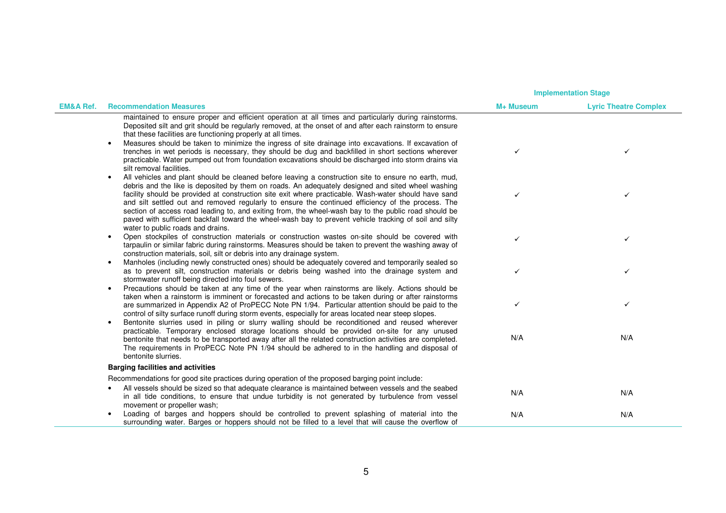|                      |                                                                                                                                                                                                                                                                                                                                                                                                                                                                                                                                                                                                                                                                                            | <b>Implementation Stage</b> |                              |
|----------------------|--------------------------------------------------------------------------------------------------------------------------------------------------------------------------------------------------------------------------------------------------------------------------------------------------------------------------------------------------------------------------------------------------------------------------------------------------------------------------------------------------------------------------------------------------------------------------------------------------------------------------------------------------------------------------------------------|-----------------------------|------------------------------|
| <b>EM&amp;A Ref.</b> | <b>Recommendation Measures</b>                                                                                                                                                                                                                                                                                                                                                                                                                                                                                                                                                                                                                                                             | M+ Museum                   | <b>Lyric Theatre Complex</b> |
|                      | maintained to ensure proper and efficient operation at all times and particularly during rainstorms.<br>Deposited silt and grit should be regularly removed, at the onset of and after each rainstorm to ensure<br>that these facilities are functioning properly at all times.<br>Measures should be taken to minimize the ingress of site drainage into excavations. If excavation of<br>trenches in wet periods is necessary, they should be dug and backfilled in short sections wherever<br>practicable. Water pumped out from foundation excavations should be discharged into storm drains via<br>silt removal facilities.                                                          | $\checkmark$                | ✓                            |
|                      | All vehicles and plant should be cleaned before leaving a construction site to ensure no earth, mud,<br>$\bullet$<br>debris and the like is deposited by them on roads. An adequately designed and sited wheel washing<br>facility should be provided at construction site exit where practicable. Wash-water should have sand<br>and silt settled out and removed regularly to ensure the continued efficiency of the process. The<br>section of access road leading to, and exiting from, the wheel-wash bay to the public road should be<br>paved with sufficient backfall toward the wheel-wash bay to prevent vehicle tracking of soil and silty<br>water to public roads and drains. | ✓                           | ✓                            |
|                      | Open stockpiles of construction materials or construction wastes on-site should be covered with<br>$\bullet$<br>tarpaulin or similar fabric during rainstorms. Measures should be taken to prevent the washing away of<br>construction materials, soil, silt or debris into any drainage system.                                                                                                                                                                                                                                                                                                                                                                                           | ✓                           | $\checkmark$                 |
|                      | Manholes (including newly constructed ones) should be adequately covered and temporarily sealed so<br>$\bullet$<br>as to prevent silt, construction materials or debris being washed into the drainage system and<br>stormwater runoff being directed into foul sewers.                                                                                                                                                                                                                                                                                                                                                                                                                    | $\checkmark$                | ✓                            |
|                      | Precautions should be taken at any time of the year when rainstorms are likely. Actions should be<br>$\bullet$<br>taken when a rainstorm is imminent or forecasted and actions to be taken during or after rainstorms<br>are summarized in Appendix A2 of ProPECC Note PN 1/94. Particular attention should be paid to the<br>control of silty surface runoff during storm events, especially for areas located near steep slopes.                                                                                                                                                                                                                                                         | $\checkmark$                | ✓                            |
|                      | Bentonite slurries used in piling or slurry walling should be reconditioned and reused wherever<br>$\bullet$<br>practicable. Temporary enclosed storage locations should be provided on-site for any unused<br>bentonite that needs to be transported away after all the related construction activities are completed.<br>The requirements in ProPECC Note PN 1/94 should be adhered to in the handling and disposal of<br>bentonite slurries.                                                                                                                                                                                                                                            | N/A                         | N/A                          |
|                      | <b>Barging facilities and activities</b>                                                                                                                                                                                                                                                                                                                                                                                                                                                                                                                                                                                                                                                   |                             |                              |
|                      | Recommendations for good site practices during operation of the proposed barging point include:                                                                                                                                                                                                                                                                                                                                                                                                                                                                                                                                                                                            |                             |                              |
|                      | All vessels should be sized so that adequate clearance is maintained between vessels and the seabed<br>in all tide conditions, to ensure that undue turbidity is not generated by turbulence from vessel<br>movement or propeller wash;                                                                                                                                                                                                                                                                                                                                                                                                                                                    | N/A                         | N/A                          |
|                      | Loading of barges and hoppers should be controlled to prevent splashing of material into the<br>surrounding water. Barges or hoppers should not be filled to a level that will cause the overflow of                                                                                                                                                                                                                                                                                                                                                                                                                                                                                       | N/A                         | N/A                          |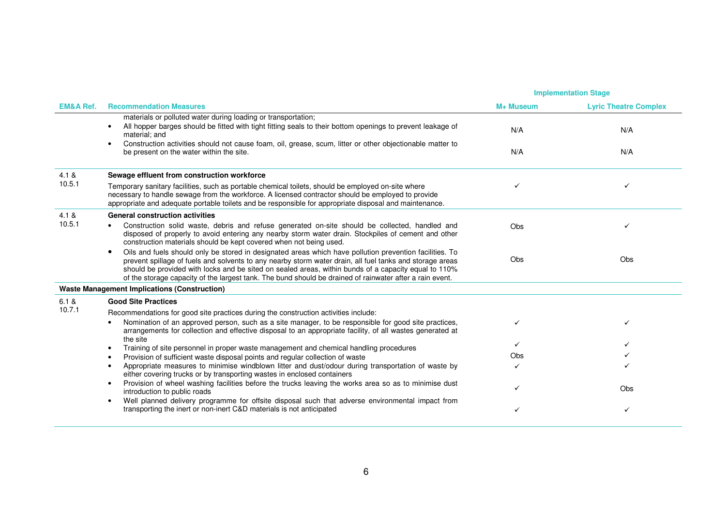|                      |                                                                                                                                                                                                                                                                                                                                                                                                                                         |            | <b>Implementation Stage</b>  |  |
|----------------------|-----------------------------------------------------------------------------------------------------------------------------------------------------------------------------------------------------------------------------------------------------------------------------------------------------------------------------------------------------------------------------------------------------------------------------------------|------------|------------------------------|--|
| <b>EM&amp;A Ref.</b> | <b>Recommendation Measures</b>                                                                                                                                                                                                                                                                                                                                                                                                          | M+ Museum  | <b>Lyric Theatre Complex</b> |  |
|                      | materials or polluted water during loading or transportation;<br>All hopper barges should be fitted with tight fitting seals to their bottom openings to prevent leakage of<br>$\bullet$<br>material; and<br>Construction activities should not cause foam, oil, grease, scum, litter or other objectionable matter to<br>$\bullet$<br>be present on the water within the site.                                                         | N/A<br>N/A | N/A<br>N/A                   |  |
| 4.1 &                | Sewage effluent from construction workforce                                                                                                                                                                                                                                                                                                                                                                                             |            |                              |  |
| 10.5.1               | Temporary sanitary facilities, such as portable chemical toilets, should be employed on-site where<br>necessary to handle sewage from the workforce. A licensed contractor should be employed to provide<br>appropriate and adequate portable toilets and be responsible for appropriate disposal and maintenance.                                                                                                                      |            | ✓                            |  |
| 4.1 &                | <b>General construction activities</b>                                                                                                                                                                                                                                                                                                                                                                                                  |            |                              |  |
| 10.5.1               | Construction solid waste, debris and refuse generated on-site should be collected, handled and<br>disposed of properly to avoid entering any nearby storm water drain. Stockpiles of cement and other<br>construction materials should be kept covered when not being used.                                                                                                                                                             | Obs        |                              |  |
|                      | Oils and fuels should only be stored in designated areas which have pollution prevention facilities. To<br>prevent spillage of fuels and solvents to any nearby storm water drain, all fuel tanks and storage areas<br>should be provided with locks and be sited on sealed areas, within bunds of a capacity equal to 110%<br>of the storage capacity of the largest tank. The bund should be drained of rainwater after a rain event. | Obs        | Obs                          |  |
|                      | <b>Waste Management Implications (Construction)</b>                                                                                                                                                                                                                                                                                                                                                                                     |            |                              |  |
| 6.1 &                | <b>Good Site Practices</b>                                                                                                                                                                                                                                                                                                                                                                                                              |            |                              |  |
| 10.7.1               | Recommendations for good site practices during the construction activities include:                                                                                                                                                                                                                                                                                                                                                     |            |                              |  |
|                      | Nomination of an approved person, such as a site manager, to be responsible for good site practices,<br>arrangements for collection and effective disposal to an appropriate facility, of all wastes generated at<br>the site                                                                                                                                                                                                           | ✓          | ✓                            |  |
|                      | Training of site personnel in proper waste management and chemical handling procedures<br>$\bullet$                                                                                                                                                                                                                                                                                                                                     | ✓          |                              |  |
|                      | Provision of sufficient waste disposal points and regular collection of waste<br>$\bullet$                                                                                                                                                                                                                                                                                                                                              | Obs        |                              |  |
|                      | Appropriate measures to minimise windblown litter and dust/odour during transportation of waste by<br>either covering trucks or by transporting wastes in enclosed containers                                                                                                                                                                                                                                                           |            |                              |  |
|                      | Provision of wheel washing facilities before the trucks leaving the works area so as to minimise dust<br>$\bullet$<br>introduction to public roads                                                                                                                                                                                                                                                                                      |            | Obs                          |  |
|                      | Well planned delivery programme for offsite disposal such that adverse environmental impact from<br>$\bullet$<br>transporting the inert or non-inert C&D materials is not anticipated                                                                                                                                                                                                                                                   |            | ✓                            |  |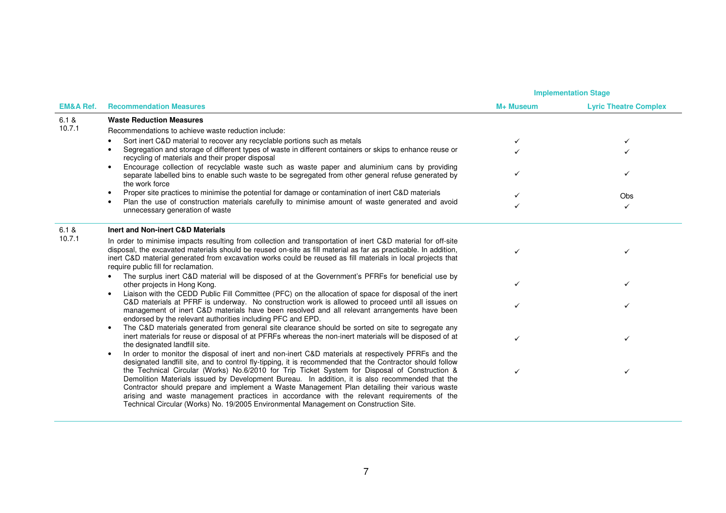|                      |                                                                                                                                                                                                                                                                                                                                                                                                                                                                                                                                                                                                                                                                                                                            |           | <b>Implementation Stage</b>  |  |
|----------------------|----------------------------------------------------------------------------------------------------------------------------------------------------------------------------------------------------------------------------------------------------------------------------------------------------------------------------------------------------------------------------------------------------------------------------------------------------------------------------------------------------------------------------------------------------------------------------------------------------------------------------------------------------------------------------------------------------------------------------|-----------|------------------------------|--|
| <b>EM&amp;A Ref.</b> | <b>Recommendation Measures</b>                                                                                                                                                                                                                                                                                                                                                                                                                                                                                                                                                                                                                                                                                             | M+ Museum | <b>Lyric Theatre Complex</b> |  |
| 6.1 &                | <b>Waste Reduction Measures</b>                                                                                                                                                                                                                                                                                                                                                                                                                                                                                                                                                                                                                                                                                            |           |                              |  |
| 10.7.1               | Recommendations to achieve waste reduction include:                                                                                                                                                                                                                                                                                                                                                                                                                                                                                                                                                                                                                                                                        |           |                              |  |
|                      | Sort inert C&D material to recover any recyclable portions such as metals<br>$\bullet$                                                                                                                                                                                                                                                                                                                                                                                                                                                                                                                                                                                                                                     |           | ✓                            |  |
|                      | Segregation and storage of different types of waste in different containers or skips to enhance reuse or<br>$\bullet$<br>recycling of materials and their proper disposal                                                                                                                                                                                                                                                                                                                                                                                                                                                                                                                                                  |           |                              |  |
|                      | Encourage collection of recyclable waste such as waste paper and aluminium cans by providing<br>$\bullet$<br>separate labelled bins to enable such waste to be segregated from other general refuse generated by<br>the work force                                                                                                                                                                                                                                                                                                                                                                                                                                                                                         |           |                              |  |
|                      | Proper site practices to minimise the potential for damage or contamination of inert C&D materials<br>$\bullet$                                                                                                                                                                                                                                                                                                                                                                                                                                                                                                                                                                                                            |           | Obs                          |  |
|                      | Plan the use of construction materials carefully to minimise amount of waste generated and avoid<br>$\bullet$<br>unnecessary generation of waste                                                                                                                                                                                                                                                                                                                                                                                                                                                                                                                                                                           |           | ✓                            |  |
| 6.1 &                | Inert and Non-inert C&D Materials                                                                                                                                                                                                                                                                                                                                                                                                                                                                                                                                                                                                                                                                                          |           |                              |  |
| 10.7.1               | In order to minimise impacts resulting from collection and transportation of inert C&D material for off-site<br>disposal, the excavated materials should be reused on-site as fill material as far as practicable. In addition,<br>inert C&D material generated from excavation works could be reused as fill materials in local projects that<br>require public fill for reclamation.                                                                                                                                                                                                                                                                                                                                     |           |                              |  |
|                      | The surplus inert C&D material will be disposed of at the Government's PFRFs for beneficial use by<br>$\bullet$<br>other projects in Hong Kong.<br>Liaison with the CEDD Public Fill Committee (PFC) on the allocation of space for disposal of the inert<br>$\bullet$                                                                                                                                                                                                                                                                                                                                                                                                                                                     |           |                              |  |
|                      | C&D materials at PFRF is underway. No construction work is allowed to proceed until all issues on<br>management of inert C&D materials have been resolved and all relevant arrangements have been<br>endorsed by the relevant authorities including PFC and EPD.                                                                                                                                                                                                                                                                                                                                                                                                                                                           |           |                              |  |
|                      | The C&D materials generated from general site clearance should be sorted on site to segregate any<br>$\bullet$<br>inert materials for reuse or disposal of at PFRFs whereas the non-inert materials will be disposed of at<br>the designated landfill site.                                                                                                                                                                                                                                                                                                                                                                                                                                                                | ✓         | ✓                            |  |
|                      | In order to monitor the disposal of inert and non-inert C&D materials at respectively PFRFs and the<br>$\bullet$<br>designated landfill site, and to control fly-tipping, it is recommended that the Contractor should follow<br>the Technical Circular (Works) No.6/2010 for Trip Ticket System for Disposal of Construction &<br>Demolition Materials issued by Development Bureau. In addition, it is also recommended that the<br>Contractor should prepare and implement a Waste Management Plan detailing their various waste<br>arising and waste management practices in accordance with the relevant requirements of the<br>Technical Circular (Works) No. 19/2005 Environmental Management on Construction Site. | ✓         | ✓                            |  |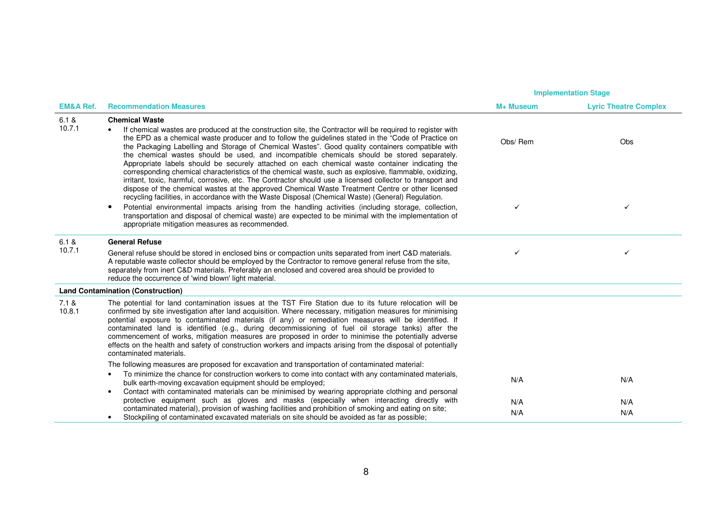|                      |                                                                                                                                                                                                                                                                                                                                                                                                                                                                                                                                                                                                                                                                                                                                                                                                                                                                                          | <b>Implementation Stage</b> |                              |
|----------------------|------------------------------------------------------------------------------------------------------------------------------------------------------------------------------------------------------------------------------------------------------------------------------------------------------------------------------------------------------------------------------------------------------------------------------------------------------------------------------------------------------------------------------------------------------------------------------------------------------------------------------------------------------------------------------------------------------------------------------------------------------------------------------------------------------------------------------------------------------------------------------------------|-----------------------------|------------------------------|
| <b>EM&amp;A Ref.</b> | <b>Recommendation Measures</b>                                                                                                                                                                                                                                                                                                                                                                                                                                                                                                                                                                                                                                                                                                                                                                                                                                                           | M+ Museum                   | <b>Lyric Theatre Complex</b> |
| 6.1 &<br>10.7.1      | <b>Chemical Waste</b><br>If chemical wastes are produced at the construction site, the Contractor will be required to register with<br>$\bullet$<br>the EPD as a chemical waste producer and to follow the guidelines stated in the "Code of Practice on<br>the Packaging Labelling and Storage of Chemical Wastes". Good quality containers compatible with<br>the chemical wastes should be used, and incompatible chemicals should be stored separately.<br>Appropriate labels should be securely attached on each chemical waste container indicating the<br>corresponding chemical characteristics of the chemical waste, such as explosive, flammable, oxidizing,<br>irritant, toxic, harmful, corrosive, etc. The Contractor should use a licensed collector to transport and<br>dispose of the chemical wastes at the approved Chemical Waste Treatment Centre or other licensed | Obs/Rem                     | Obs                          |
|                      | recycling facilities, in accordance with the Waste Disposal (Chemical Waste) (General) Regulation.<br>Potential environmental impacts arising from the handling activities (including storage, collection,<br>$\bullet$<br>transportation and disposal of chemical waste) are expected to be minimal with the implementation of<br>appropriate mitigation measures as recommended.                                                                                                                                                                                                                                                                                                                                                                                                                                                                                                       | $\checkmark$                | ✓                            |
| 6.1 &<br>10.7.1      | <b>General Refuse</b><br>General refuse should be stored in enclosed bins or compaction units separated from inert C&D materials.<br>A reputable waste collector should be employed by the Contractor to remove general refuse from the site,<br>separately from inert C&D materials. Preferably an enclosed and covered area should be provided to<br>reduce the occurrence of 'wind blown' light material.                                                                                                                                                                                                                                                                                                                                                                                                                                                                             | ✓                           | ✓                            |
|                      | <b>Land Contamination (Construction)</b>                                                                                                                                                                                                                                                                                                                                                                                                                                                                                                                                                                                                                                                                                                                                                                                                                                                 |                             |                              |
| 7.1 &<br>10.8.1      | The potential for land contamination issues at the TST Fire Station due to its future relocation will be<br>confirmed by site investigation after land acquisition. Where necessary, mitigation measures for minimising<br>potential exposure to contaminated materials (if any) or remediation measures will be identified. If<br>contaminated land is identified (e.g., during decommissioning of fuel oil storage tanks) after the<br>commencement of works, mitigation measures are proposed in order to minimise the potentially adverse<br>effects on the health and safety of construction workers and impacts arising from the disposal of potentially<br>contaminated materials.                                                                                                                                                                                                |                             |                              |
|                      | The following measures are proposed for excavation and transportation of contaminated material:<br>To minimize the chance for construction workers to come into contact with any contaminated materials.<br>$\bullet$<br>bulk earth-moving excavation equipment should be employed;<br>Contact with contaminated materials can be minimised by wearing appropriate clothing and personal<br>$\bullet$                                                                                                                                                                                                                                                                                                                                                                                                                                                                                    | N/A                         | N/A                          |
|                      | protective equipment such as gloves and masks (especially when interacting directly with<br>contaminated material), provision of washing facilities and prohibition of smoking and eating on site;<br>Stockpiling of contaminated excavated materials on site should be avoided as far as possible;<br>$\bullet$                                                                                                                                                                                                                                                                                                                                                                                                                                                                                                                                                                         | N/A<br>N/A                  | N/A<br>N/A                   |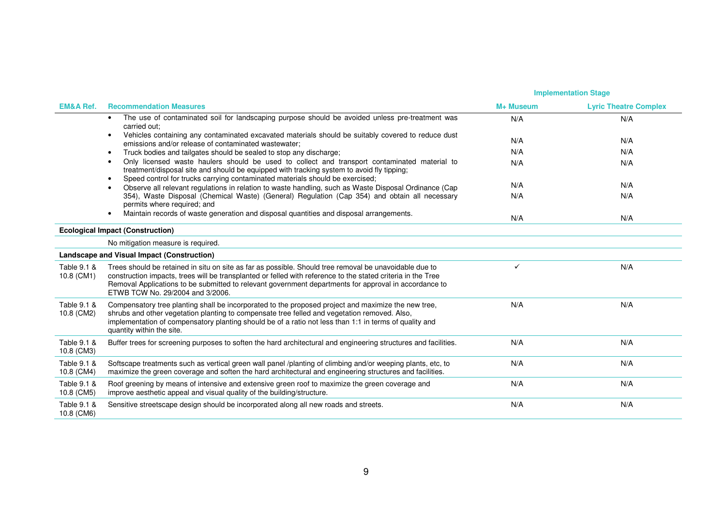|                           |                                                                                                                                                                                                                                                                                                                                                                     | <b>Implementation Stage</b> |                              |
|---------------------------|---------------------------------------------------------------------------------------------------------------------------------------------------------------------------------------------------------------------------------------------------------------------------------------------------------------------------------------------------------------------|-----------------------------|------------------------------|
| <b>EM&amp;A Ref.</b>      | <b>Recommendation Measures</b>                                                                                                                                                                                                                                                                                                                                      | M+ Museum                   | <b>Lyric Theatre Complex</b> |
|                           | The use of contaminated soil for landscaping purpose should be avoided unless pre-treatment was<br>carried out:                                                                                                                                                                                                                                                     | N/A                         | N/A                          |
|                           | Vehicles containing any contaminated excavated materials should be suitably covered to reduce dust<br>$\bullet$<br>emissions and/or release of contaminated wastewater:                                                                                                                                                                                             | N/A                         | N/A                          |
|                           | Truck bodies and tailgates should be sealed to stop any discharge;<br>$\bullet$                                                                                                                                                                                                                                                                                     | N/A                         | N/A                          |
|                           | Only licensed waste haulers should be used to collect and transport contaminated material to<br>treatment/disposal site and should be equipped with tracking system to avoid fly tipping;<br>Speed control for trucks carrying contaminated materials should be exercised;                                                                                          | N/A                         | N/A                          |
|                           | Observe all relevant regulations in relation to waste handling, such as Waste Disposal Ordinance (Cap                                                                                                                                                                                                                                                               | N/A                         | N/A                          |
|                           | 354), Waste Disposal (Chemical Waste) (General) Regulation (Cap 354) and obtain all necessary<br>permits where required; and                                                                                                                                                                                                                                        | N/A                         | N/A                          |
|                           | Maintain records of waste generation and disposal quantities and disposal arrangements.                                                                                                                                                                                                                                                                             | N/A                         | N/A                          |
|                           | <b>Ecological Impact (Construction)</b>                                                                                                                                                                                                                                                                                                                             |                             |                              |
|                           | No mitigation measure is required.                                                                                                                                                                                                                                                                                                                                  |                             |                              |
|                           | Landscape and Visual Impact (Construction)                                                                                                                                                                                                                                                                                                                          |                             |                              |
| Table 9.1 &<br>10.8 (CM1) | Trees should be retained in situ on site as far as possible. Should tree removal be unavoidable due to<br>construction impacts, trees will be transplanted or felled with reference to the stated criteria in the Tree<br>Removal Applications to be submitted to relevant government departments for approval in accordance to<br>ETWB TCW No. 29/2004 and 3/2006. | $\checkmark$                | N/A                          |
| Table 9.1 &<br>10.8 (CM2) | Compensatory tree planting shall be incorporated to the proposed project and maximize the new tree,<br>shrubs and other vegetation planting to compensate tree felled and vegetation removed. Also,<br>implementation of compensatory planting should be of a ratio not less than 1:1 in terms of quality and<br>quantity within the site.                          | N/A                         | N/A                          |
| Table 9.1 &<br>10.8 (CM3) | Buffer trees for screening purposes to soften the hard architectural and engineering structures and facilities.                                                                                                                                                                                                                                                     | N/A                         | N/A                          |
| Table 9.1 &<br>10.8 (CM4) | Softscape treatments such as vertical green wall panel /planting of climbing and/or weeping plants, etc, to<br>maximize the green coverage and soften the hard architectural and engineering structures and facilities.                                                                                                                                             | N/A                         | N/A                          |
| Table 9.1 &<br>10.8 (CM5) | Roof greening by means of intensive and extensive green roof to maximize the green coverage and<br>improve aesthetic appeal and visual quality of the building/structure.                                                                                                                                                                                           | N/A                         | N/A                          |
| Table 9.1 &<br>10.8 (CM6) | Sensitive streetscape design should be incorporated along all new roads and streets.                                                                                                                                                                                                                                                                                | N/A                         | N/A                          |